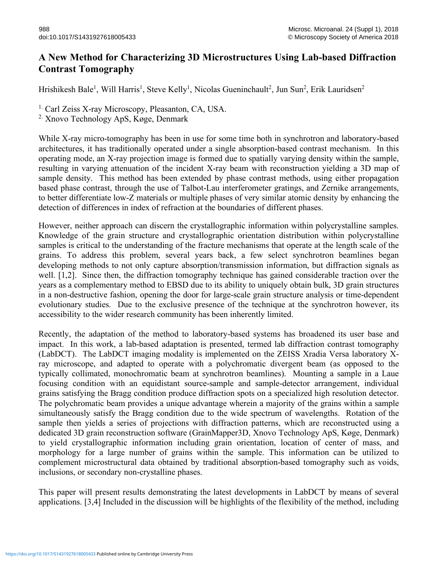## **A New Method for Characterizing 3D Microstructures Using Lab-based Diffraction Contrast Tomography**

Hrishikesh Bale<sup>1</sup>, Will Harris<sup>1</sup>, Steve Kelly<sup>1</sup>, Nicolas Gueninchault<sup>2</sup>, Jun Sun<sup>2</sup>, Erik Lauridsen<sup>2</sup>

<sup>1.</sup> Carl Zeiss X-ray Microscopy, Pleasanton, CA, USA. <sup>2.</sup> Xnovo Technology ApS, Køge, Denmark

While X-ray micro-tomography has been in use for some time both in synchrotron and laboratory-based architectures, it has traditionally operated under a single absorption-based contrast mechanism. In this operating mode, an X-ray projection image is formed due to spatially varying density within the sample, resulting in varying attenuation of the incident X-ray beam with reconstruction yielding a 3D map of sample density. This method has been extended by phase contrast methods, using either propagation based phase contrast, through the use of Talbot-Lau interferometer gratings, and Zernike arrangements, to better differentiate low-Z materials or multiple phases of very similar atomic density by enhancing the detection of differences in index of refraction at the boundaries of different phases.

However, neither approach can discern the crystallographic information within polycrystalline samples. Knowledge of the grain structure and crystallographic orientation distribution within polycrystalline samples is critical to the understanding of the fracture mechanisms that operate at the length scale of the grains. To address this problem, several years back, a few select synchrotron beamlines began developing methods to not only capture absorption/transmission information, but diffraction signals as well. [1,2]. Since then, the diffraction tomography technique has gained considerable traction over the years as a complementary method to EBSD due to its ability to uniquely obtain bulk, 3D grain structures in a non-destructive fashion, opening the door for large-scale grain structure analysis or time-dependent evolutionary studies. Due to the exclusive presence of the technique at the synchrotron however, its accessibility to the wider research community has been inherently limited.

Recently, the adaptation of the method to laboratory-based systems has broadened its user base and impact. In this work, a lab-based adaptation is presented, termed lab diffraction contrast tomography (LabDCT). The LabDCT imaging modality is implemented on the ZEISS Xradia Versa laboratory Xray microscope, and adapted to operate with a polychromatic divergent beam (as opposed to the typically collimated, monochromatic beam at synchrotron beamlines). Mounting a sample in a Laue focusing condition with an equidistant source-sample and sample-detector arrangement, individual grains satisfying the Bragg condition produce diffraction spots on a specialized high resolution detector. The polychromatic beam provides a unique advantage wherein a majority of the grains within a sample simultaneously satisfy the Bragg condition due to the wide spectrum of wavelengths. Rotation of the sample then yields a series of projections with diffraction patterns, which are reconstructed using a dedicated 3D grain reconstruction software (GrainMapper3D, Xnovo Technology ApS, Køge, Denmark) to yield crystallographic information including grain orientation, location of center of mass, and morphology for a large number of grains within the sample. This information can be utilized to complement microstructural data obtained by traditional absorption-based tomography such as voids, inclusions, or secondary non-crystalline phases.

This paper will present results demonstrating the latest developments in LabDCT by means of several applications. [3,4] Included in the discussion will be highlights of the flexibility of the method, including